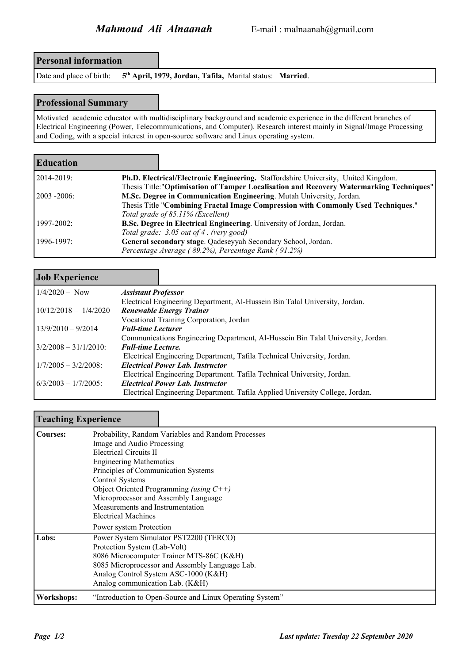**Personal information**

Date and place of birth: **5 th April, 1979, Jordan, Tafila,** Marital status: **Married**.

## **Professional Summary**

Motivated academic educator with multidisciplinary background and academic experience in the different branches of Electrical Engineering (Power, Telecommunications, and Computer). Research interest mainly in Signal/Image Processing and Coding, with a special interest in open-source software and Linux operating system.

| <b>Education</b> |                                                                                         |
|------------------|-----------------------------------------------------------------------------------------|
| 12014-2019:      | Ph.D. Electrical/Electronic Engineering. Staffordshire University, United Kingdom.      |
|                  | Thesis Title:"Optimisation of Tamper Localisation and Recovery Watermarking Techniques" |
| l 2003 -2006:    | M.Sc. Degree in Communication Engineering. Mutah University, Jordan.                    |
|                  | Thesis Title "Combining Fractal Image Compression with Commonly Used Techniques."       |
|                  | Total grade of 85.11% (Excellent)                                                       |
| 1997-2002:       | B.Sc. Degree in Electrical Engineering. University of Jordan, Jordan.                   |
|                  | Total grade: 3.05 out of 4. (very good)                                                 |
| 1996-1997:       | General secondary stage. Qadeseyyah Secondary School, Jordan.                           |
|                  | Percentage Average (89.2%), Percentage Rank (91.2%)                                     |
|                  |                                                                                         |

# **Job Experience**

| $1/4/2020 - Now$         | <b>Assistant Professor</b>                                                      |
|--------------------------|---------------------------------------------------------------------------------|
|                          | Electrical Engineering Department, Al-Hussein Bin Talal University, Jordan.     |
| $10/12/2018 - 1/4/2020$  | <b>Renewable Energy Trainer</b>                                                 |
|                          | Vocational Training Corporation, Jordan                                         |
| $13/9/2010 - 9/2014$     | <b>Full-time Lecturer</b>                                                       |
|                          | Communications Engineering Department, Al-Hussein Bin Talal University, Jordan. |
| $3/2/2008 - 31/1/2010$ : | <b>Full-time Lecture.</b>                                                       |
|                          | Electrical Engineering Department, Tafila Technical University, Jordan.         |
| $1/7/2005 - 3/2/2008$    | <b>Electrical Power Lab. Instructor</b>                                         |
|                          | Electrical Engineering Department. Tafila Technical University, Jordan.         |
| $16/3/2003 - 1/7/2005$   | <b>Electrical Power Lab. Instructor</b>                                         |
|                          | Electrical Engineering Department. Tafila Applied University College, Jordan.   |

# **Teaching Experience**

| <b>Courses:</b> | Probability, Random Variables and Random Processes<br>Image and Audio Processing<br><b>Electrical Circuits II</b><br><b>Engineering Mathematics</b><br>Principles of Communication Systems<br><b>Control Systems</b><br>Object Oriented Programming (using $C++$ )<br>Microprocessor and Assembly Language<br>Measurements and Instrumentation<br><b>Electrical Machines</b><br>Power system Protection |
|-----------------|---------------------------------------------------------------------------------------------------------------------------------------------------------------------------------------------------------------------------------------------------------------------------------------------------------------------------------------------------------------------------------------------------------|
| Labs:           | Power System Simulator PST2200 (TERCO)<br>Protection System (Lab-Volt)<br>8086 Microcomputer Trainer MTS-86C (K&H)<br>8085 Microprocessor and Assembly Language Lab.<br>Analog Control System ASC-1000 (K&H)<br>Analog communication Lab. (K&H)                                                                                                                                                         |
| Workshops:      | "Introduction to Open-Source and Linux Operating System"                                                                                                                                                                                                                                                                                                                                                |